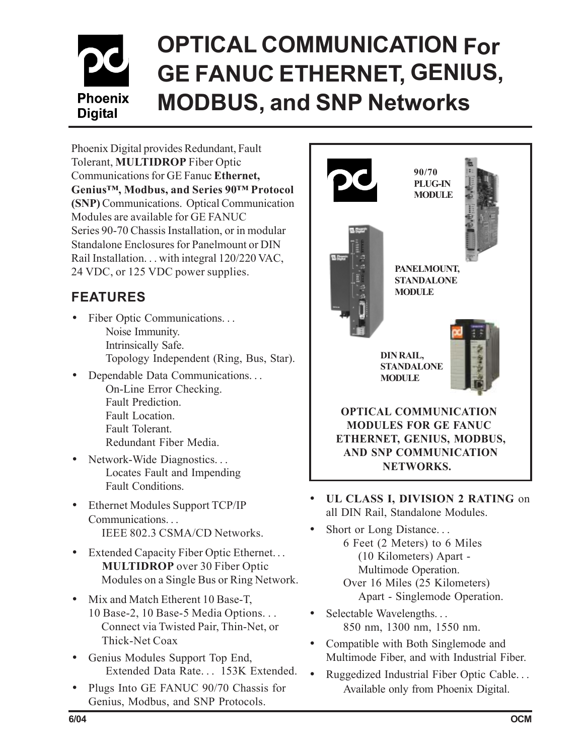# **OPTICAL COMMUNICATION For GE FANUC ETHERNET, GENIUS, Phoenix MODBUS, and SNP Networks Digital**

Phoenix Digital provides Redundant, Fault Tolerant, **MULTIDROP** Fiber Optic Communications for GE Fanuc **Ethernet, Genius™, Modbus, and Series 90™ Protocol (SNP)** Communications. Optical Communication Modules are available for GE FANUC Series 90-70 Chassis Installation, or in modular Standalone Enclosures for Panelmount or DIN Rail Installation. . . with integral 120/220 VAC, 24 VDC, or 125 VDC power supplies.

# **FEATURES**

- Fiber Optic Communications... Noise Immunity. Intrinsically Safe. Topology Independent (Ring, Bus, Star).
- Dependable Data Communications. . . On-Line Error Checking. Fault Prediction. Fault Location. Fault Tolerant. Redundant Fiber Media.
- Network-Wide Diagnostics... Locates Fault and Impending Fault Conditions.
- Ethernet Modules Support TCP/IP Communications. . . IEEE 802.3 CSMA/CD Networks.
- Extended Capacity Fiber Optic Ethernet... **MULTIDROP** over 30 Fiber Optic Modules on a Single Bus or Ring Network.
- Mix and Match Etherent 10 Base-T, 10 Base-2, 10 Base-5 Media Options. . . Connect via Twisted Pair, Thin-Net, or Thick-Net Coax
- Genius Modules Support Top End, Extended Data Rate... 153K Extended.
- Plugs Into GE FANUC 90/70 Chassis for Genius, Modbus, and SNP Protocols.



- **UL CLASS I, DIVISION 2 RATING** on all DIN Rail, Standalone Modules.
	- Short or Long Distance... 6 Feet (2 Meters) to 6 Miles (10 Kilometers) Apart - Multimode Operation. Over 16 Miles (25 Kilometers) Apart - Singlemode Operation.
- Selectable Wavelengths... 850 nm, 1300 nm, 1550 nm.
- Compatible with Both Singlemode and Multimode Fiber, and with Industrial Fiber.
- Ruggedized Industrial Fiber Optic Cable. . . Available only from Phoenix Digital.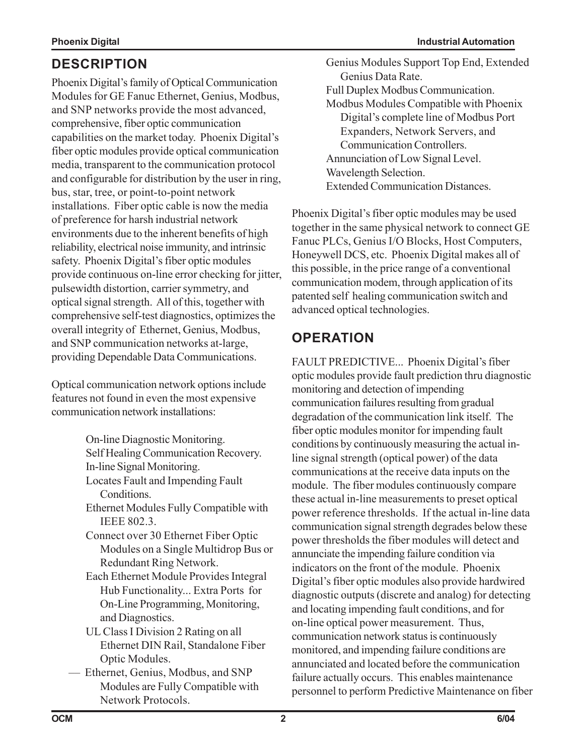### **DESCRIPTION**

Phoenix Digital's family of Optical Communication Modules for GE Fanuc Ethernet, Genius, Modbus, and SNP networks provide the most advanced, comprehensive, fiber optic communication capabilities on the market today. Phoenix Digital's fiber optic modules provide optical communication media, transparent to the communication protocol and configurable for distribution by the user in ring, bus, star, tree, or point-to-point network installations. Fiber optic cable is now the media of preference for harsh industrial network environments due to the inherent benefits of high reliability, electrical noise immunity, and intrinsic safety. Phoenix Digital's fiber optic modules provide continuous on-line error checking for jitter, pulsewidth distortion, carrier symmetry, and optical signal strength. All of this, together with comprehensive self-test diagnostics, optimizes the overall integrity of Ethernet, Genius, Modbus, and SNP communication networks at-large, providing Dependable Data Communications.

Optical communication network options include features not found in even the most expensive communication network installations:

- On-line Diagnostic Monitoring.
- Self Healing Communication Recovery.
- In-line Signal Monitoring.
- Locates Fault and Impending Fault Conditions.
- Ethernet Modules Fully Compatible with IEEE 802.3.
- Connect over 30 Ethernet Fiber Optic Modules on a Single Multidrop Bus or Redundant Ring Network.
- Each Ethernet Module Provides Integral Hub Functionality... Extra Ports for On-Line Programming, Monitoring, and Diagnostics.
- UL Class I Division 2 Rating on all Ethernet DIN Rail, Standalone Fiber Optic Modules.
- –– Ethernet, Genius, Modbus, and SNP Modules are Fully Compatible with Network Protocols.
- Genius Modules Support Top End, Extended Genius Data Rate.
- Full Duplex Modbus Communication.
- Modbus Modules Compatible with Phoenix Digital's complete line of Modbus Port Expanders, Network Servers, and Communication Controllers.
- Annunciation of Low Signal Level.
- Wavelength Selection.
- Extended Communication Distances.

Phoenix Digital's fiber optic modules may be used together in the same physical network to connect GE Fanuc PLCs, Genius I/O Blocks, Host Computers, Honeywell DCS, etc. Phoenix Digital makes all of this possible, in the price range of a conventional communication modem, through application of its patented self healing communication switch and advanced optical technologies.

## **OPERATION**

FAULT PREDICTIVE... Phoenix Digital's fiber optic modules provide fault prediction thru diagnostic monitoring and detection of impending communication failures resulting from gradual degradation of the communication link itself. The fiber optic modules monitor for impending fault conditions by continuously measuring the actual inline signal strength (optical power) of the data communications at the receive data inputs on the module. The fiber modules continuously compare these actual in-line measurements to preset optical power reference thresholds. If the actual in-line data communication signal strength degrades below these power thresholds the fiber modules will detect and annunciate the impending failure condition via indicators on the front of the module. Phoenix Digital's fiber optic modules also provide hardwired diagnostic outputs (discrete and analog) for detecting and locating impending fault conditions, and for on-line optical power measurement. Thus, communication network status is continuously monitored, and impending failure conditions are annunciated and located before the communication failure actually occurs. This enables maintenance personnel to perform Predictive Maintenance on fiber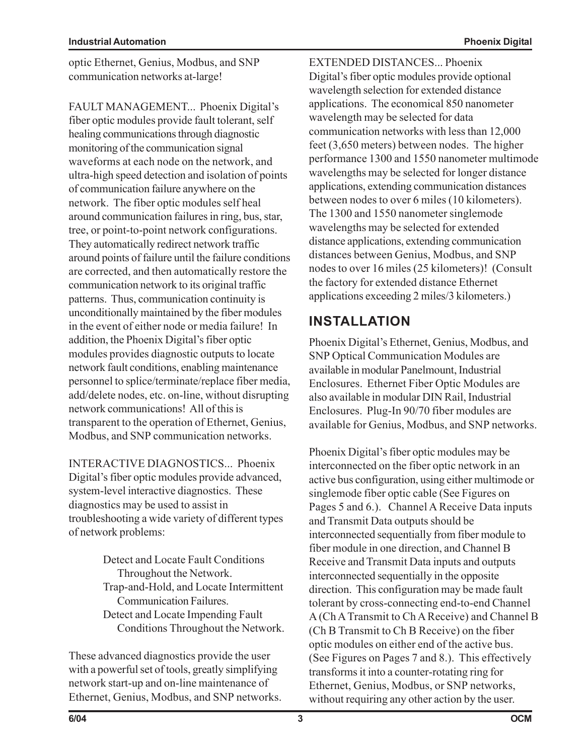optic Ethernet, Genius, Modbus, and SNP communication networks at-large!

FAULT MANAGEMENT... Phoenix Digital's fiber optic modules provide fault tolerant, self healing communications through diagnostic monitoring of the communication signal waveforms at each node on the network, and ultra-high speed detection and isolation of points of communication failure anywhere on the network. The fiber optic modules self heal around communication failures in ring, bus, star, tree, or point-to-point network configurations. They automatically redirect network traffic around points of failure until the failure conditions are corrected, and then automatically restore the communication network to its original traffic patterns. Thus, communication continuity is unconditionally maintained by the fiber modules in the event of either node or media failure! In addition, the Phoenix Digital's fiber optic modules provides diagnostic outputs to locate network fault conditions, enabling maintenance personnel to splice/terminate/replace fiber media, add/delete nodes, etc. on-line, without disrupting network communications! All of this is transparent to the operation of Ethernet, Genius, Modbus, and SNP communication networks.

INTERACTIVE DIAGNOSTICS... Phoenix Digital's fiber optic modules provide advanced, system-level interactive diagnostics. These diagnostics may be used to assist in troubleshooting a wide variety of different types of network problems:

- Detect and Locate Fault Conditions Throughout the Network.
- Trap-and-Hold, and Locate Intermittent Communication Failures.
- Detect and Locate Impending Fault Conditions Throughout the Network.

These advanced diagnostics provide the user with a powerful set of tools, greatly simplifying network start-up and on-line maintenance of Ethernet, Genius, Modbus, and SNP networks. EXTENDED DISTANCES... Phoenix Digital's fiber optic modules provide optional wavelength selection for extended distance applications. The economical 850 nanometer wavelength may be selected for data communication networks with less than 12,000 feet (3,650 meters) between nodes. The higher performance 1300 and 1550 nanometer multimode wavelengths may be selected for longer distance applications, extending communication distances between nodes to over 6 miles (10 kilometers). The 1300 and 1550 nanometer singlemode wavelengths may be selected for extended distance applications, extending communication distances between Genius, Modbus, and SNP nodes to over 16 miles (25 kilometers)! (Consult the factory for extended distance Ethernet applications exceeding 2 miles/3 kilometers.)

### **INSTALLATION**

Phoenix Digital's Ethernet, Genius, Modbus, and SNP Optical Communication Modules are available in modular Panelmount, Industrial Enclosures. Ethernet Fiber Optic Modules are also available in modular DIN Rail, Industrial Enclosures. Plug-In 90/70 fiber modules are available for Genius, Modbus, and SNP networks.

Phoenix Digital's fiber optic modules may be interconnected on the fiber optic network in an active bus configuration, using either multimode or singlemode fiber optic cable (See Figures on Pages 5 and 6.). Channel A Receive Data inputs and Transmit Data outputs should be interconnected sequentially from fiber module to fiber module in one direction, and Channel B Receive and Transmit Data inputs and outputs interconnected sequentially in the opposite direction. This configuration may be made fault tolerant by cross-connecting end-to-end Channel A (Ch A Transmit to Ch A Receive) and Channel B (Ch B Transmit to Ch B Receive) on the fiber optic modules on either end of the active bus. (See Figures on Pages 7 and 8.). This effectively transforms it into a counter-rotating ring for Ethernet, Genius, Modbus, or SNP networks, without requiring any other action by the user.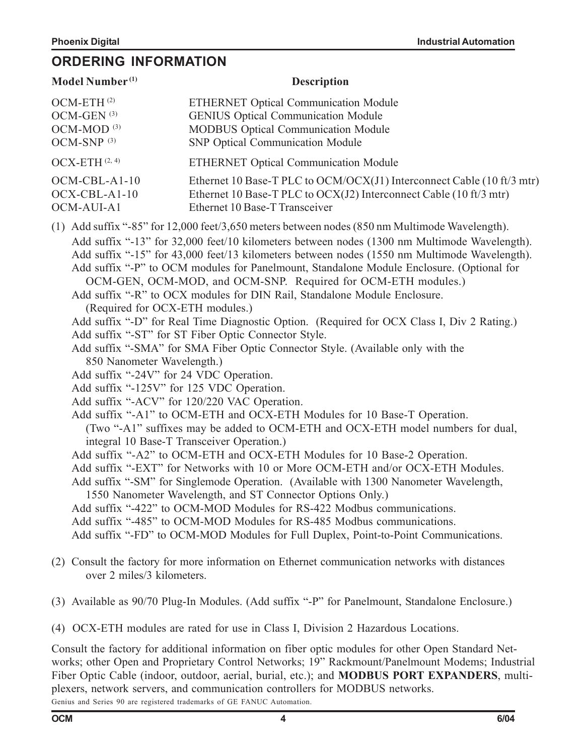#### **ORDERING INFORMATION**

| Model Number <sup>(1)</sup>                                                                                                                                                                                                                                                                                                                                                                                                                                                                                                                                                                                                                                                                                                                                                                                                                                                                                                                                                                                                                                                                                                                                                                                                                                                                                                                                                                                                                                                                                                                                                                                                                                                                                                                                              | <b>Description</b>                                                                                                                                                             |  |
|--------------------------------------------------------------------------------------------------------------------------------------------------------------------------------------------------------------------------------------------------------------------------------------------------------------------------------------------------------------------------------------------------------------------------------------------------------------------------------------------------------------------------------------------------------------------------------------------------------------------------------------------------------------------------------------------------------------------------------------------------------------------------------------------------------------------------------------------------------------------------------------------------------------------------------------------------------------------------------------------------------------------------------------------------------------------------------------------------------------------------------------------------------------------------------------------------------------------------------------------------------------------------------------------------------------------------------------------------------------------------------------------------------------------------------------------------------------------------------------------------------------------------------------------------------------------------------------------------------------------------------------------------------------------------------------------------------------------------------------------------------------------------|--------------------------------------------------------------------------------------------------------------------------------------------------------------------------------|--|
| OCM-ETH <sup>(2)</sup><br>OCM-GEN <sup>(3)</sup><br>OCM-MOD <sup>(3)</sup><br>OCM-SNP <sup>(3)</sup>                                                                                                                                                                                                                                                                                                                                                                                                                                                                                                                                                                                                                                                                                                                                                                                                                                                                                                                                                                                                                                                                                                                                                                                                                                                                                                                                                                                                                                                                                                                                                                                                                                                                     | <b>ETHERNET Optical Communication Module</b><br><b>GENIUS Optical Communication Module</b><br><b>MODBUS Optical Communication Module</b><br>SNP Optical Communication Module   |  |
| $OCX-ETH$ $(2, 4)$                                                                                                                                                                                                                                                                                                                                                                                                                                                                                                                                                                                                                                                                                                                                                                                                                                                                                                                                                                                                                                                                                                                                                                                                                                                                                                                                                                                                                                                                                                                                                                                                                                                                                                                                                       | <b>ETHERNET Optical Communication Module</b>                                                                                                                                   |  |
| OCM-CBL-A1-10<br>OCX-CBL-A1-10<br>OCM-AUI-A1                                                                                                                                                                                                                                                                                                                                                                                                                                                                                                                                                                                                                                                                                                                                                                                                                                                                                                                                                                                                                                                                                                                                                                                                                                                                                                                                                                                                                                                                                                                                                                                                                                                                                                                             | Ethernet 10 Base-T PLC to OCM/OCX(J1) Interconnect Cable (10 ft/3 mtr)<br>Ethernet 10 Base-T PLC to OCX(J2) Interconnect Cable (10 ft/3 mtr)<br>Ethernet 10 Base-T Transceiver |  |
| (1) Add suffix "-85" for 12,000 feet/3,650 meters between nodes (850 nm Multimode Wavelength).<br>Add suffix "-13" for 32,000 feet/10 kilometers between nodes (1300 nm Multimode Wavelength).<br>Add suffix "-15" for 43,000 feet/13 kilometers between nodes (1550 nm Multimode Wavelength).<br>Add suffix "-P" to OCM modules for Panelmount, Standalone Module Enclosure. (Optional for<br>OCM-GEN, OCM-MOD, and OCM-SNP. Required for OCM-ETH modules.)<br>Add suffix "-R" to OCX modules for DIN Rail, Standalone Module Enclosure.<br>(Required for OCX-ETH modules.)<br>Add suffix "-D" for Real Time Diagnostic Option. (Required for OCX Class I, Div 2 Rating.)<br>Add suffix "-ST" for ST Fiber Optic Connector Style.<br>Add suffix "-SMA" for SMA Fiber Optic Connector Style. (Available only with the<br>850 Nanometer Wavelength.)<br>Add suffix "-24V" for 24 VDC Operation.<br>Add suffix "-125V" for 125 VDC Operation.<br>Add suffix "-ACV" for 120/220 VAC Operation.<br>Add suffix "-A1" to OCM-ETH and OCX-ETH Modules for 10 Base-T Operation.<br>(Two "-A1" suffixes may be added to OCM-ETH and OCX-ETH model numbers for dual,<br>integral 10 Base-T Transceiver Operation.)<br>Add suffix "-A2" to OCM-ETH and OCX-ETH Modules for 10 Base-2 Operation.<br>Add suffix "-EXT" for Networks with 10 or More OCM-ETH and/or OCX-ETH Modules.<br>Add suffix "-SM" for Singlemode Operation. (Available with 1300 Nanometer Wavelength,<br>1550 Nanometer Wavelength, and ST Connector Options Only.)<br>Add suffix "-422" to OCM-MOD Modules for RS-422 Modbus communications.<br>Add suffix "-485" to OCM-MOD Modules for RS-485 Modbus communications.<br>Add suffix "-FD" to OCM-MOD Modules for Full Duplex, Point-to-Point Communications. |                                                                                                                                                                                |  |
| over 2 miles/3 kilometers.                                                                                                                                                                                                                                                                                                                                                                                                                                                                                                                                                                                                                                                                                                                                                                                                                                                                                                                                                                                                                                                                                                                                                                                                                                                                                                                                                                                                                                                                                                                                                                                                                                                                                                                                               | (2) Consult the factory for more information on Ethernet communication networks with distances                                                                                 |  |

- (3) Available as 90/70 Plug-In Modules. (Add suffix "-P" for Panelmount, Standalone Enclosure.)
- (4) OCX-ETH modules are rated for use in Class I, Division 2 Hazardous Locations.

Consult the factory for additional information on fiber optic modules for other Open Standard Networks; other Open and Proprietary Control Networks; 19" Rackmount/Panelmount Modems; Industrial Fiber Optic Cable (indoor, outdoor, aerial, burial, etc.); and **MODBUS PORT EXPANDERS**, multiplexers, network servers, and communication controllers for MODBUS networks. Genius and Series 90 are registered trademarks of GE FANUC Automation.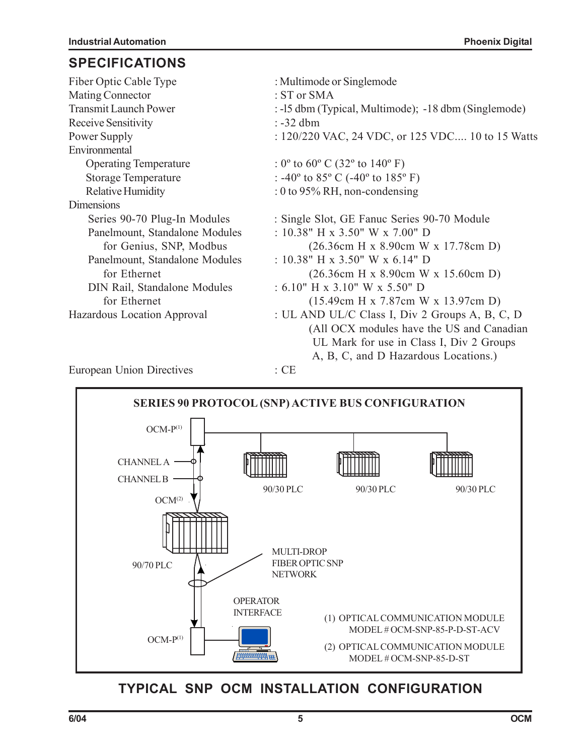#### **SPECIFICATIONS**

| Fiber Optic Cable Type              | : Multimode or Singlemode                                                |
|-------------------------------------|--------------------------------------------------------------------------|
| Mating Connector                    | : ST or SMA                                                              |
| <b>Transmit Launch Power</b>        | : -15 dbm (Typical, Multimode); -18 dbm (Singlemode)                     |
| <b>Receive Sensitivity</b>          | $: -32$ dbm                                                              |
| Power Supply                        | : 120/220 VAC, 24 VDC, or 125 VDC 10 to 15 Watts                         |
| Environmental                       |                                                                          |
| <b>Operating Temperature</b>        | : $0^{\circ}$ to $60^{\circ}$ C (32 $^{\circ}$ to 140 $^{\circ}$ F)      |
| <b>Storage Temperature</b>          | : -40 $^{\circ}$ to 85 $^{\circ}$ C (-40 $^{\circ}$ to 185 $^{\circ}$ F) |
| <b>Relative Humidity</b>            | : 0 to 95% RH, non-condensing                                            |
| Dimensions                          |                                                                          |
| Series 90-70 Plug-In Modules        | : Single Slot, GE Fanuc Series 90-70 Module                              |
| Panelmount, Standalone Modules      | : 10.38" H x 3.50" W x 7.00" D                                           |
| for Genius, SNP, Modbus             | $(26.36cm$ H x 8.90cm W x 17.78cm D)                                     |
| Panelmount, Standalone Modules      | : $10.38$ " H x $3.50$ " W x $6.14$ " D                                  |
| for Ethernet                        | $(26.36cm$ H x 8.90cm W x 15.60cm D)                                     |
| <b>DIN Rail, Standalone Modules</b> | $: 6.10"$ H x 3.10" W x 5.50" D                                          |
| for Ethernet                        | $(15.49cm$ H x 7.87cm W x 13.97cm D)                                     |
| Hazardous Location Approval         | : UL AND UL/C Class I, Div 2 Groups A, B, C, D                           |
|                                     | (All OCX modules have the US and Canadian                                |
|                                     | UL Mark for use in Class I, Div 2 Groups                                 |
|                                     | A, B, C, and D Hazardous Locations.)                                     |
| <b>European Union Directives</b>    | $\therefore$ CE                                                          |



### **TYPICAL SNP OCM INSTALLATION CONFIGURATION**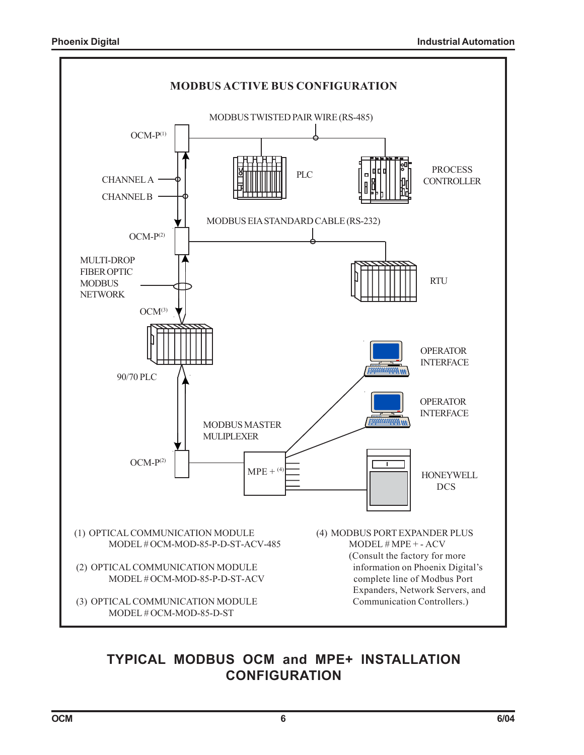

### **TYPICAL MODBUS OCM and MPE+ INSTALLATION CONFIGURATION**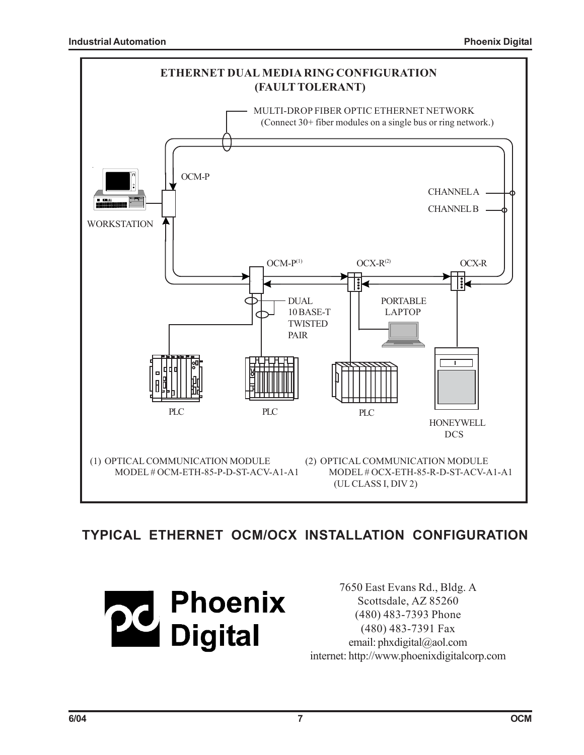

### **TYPICAL ETHERNET OCM/OCX INSTALLATION CONFIGURATION**



7650 East Evans Rd., Bldg. A Scottsdale, AZ 85260 (480) 483-7393 Phone (480) 483-7391 Fax email: phxdigital@aol.com internet: http://www.phoenixdigitalcorp.com